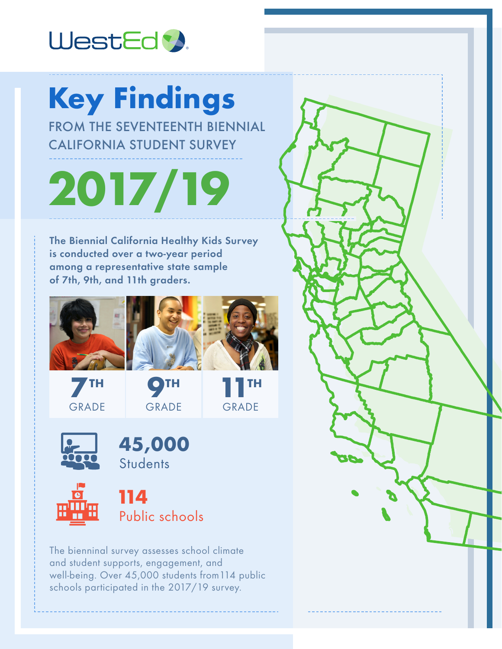

# **Key Findings**  FROM THE SEVENTEENTH BIENNIAL CALIFORNIA STUDENT SURVEY

**2017/19**

The Biennial California Healthy Kids Survey is conducted over a two-year period among a representative state sample of 7th, 9th, and 11th graders.











The bienninal survey assesses school climate and student supports, engagement, and well-being. Over 45,000 students from114 public schools participated in the 2017/19 survey.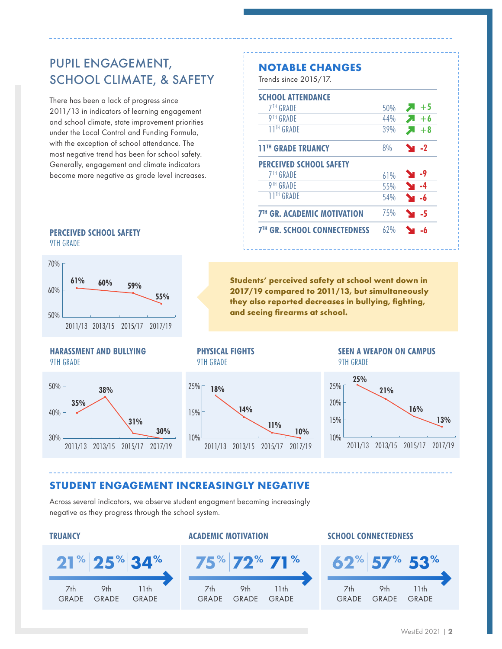# PUPIL ENGAGEMENT, SCHOOL CLIMATE, & SAFETY

There has been a lack of progress since 2011/13 in indicators of learning engagement and school climate, state improvement priorities under the Local Control and Funding Formula, with the exception of school attendance. The most negative trend has been for school safety. Generally, engagement and climate indicators become more negative as grade level increases.

### **NOTABLE CHANGES** Trends since 2015/17.

| <b>SCHOOL ATTENDANCE</b>                       |     |                 |
|------------------------------------------------|-----|-----------------|
| 7™ GRADF                                       | 50% | $+5$            |
| 9™ GRADE                                       | 44% | $+6$            |
| <b>11TH GRADE</b>                              | 39% | $+8$            |
| <b>11<sup>th</sup> GRADE TRUANCY</b>           | 8%  | $\mathbf{M}$ -2 |
| <b>PERCEIVED SCHOOL SAFETY</b>                 |     |                 |
| <b>7<sup>TH</sup> GRADE</b>                    | 61% | - 9             |
| GRADE<br>9 TH                                  | 55% | -4              |
| <b>11<sup>TH</sup> GRADE</b>                   | 54% | -6              |
| <b>7<sup>TH</sup> GR. ACADEMIC MOTIVATION</b>  | 75% | - 5             |
| <b>7<sup>TH</sup> GR. SCHOOL CONNECTEDNESS</b> | 62% |                 |

### **PERCEIVED SCHOOL SAFETY** 9TH GRADE



**Students' perceived safety at school went down in 2017/19 compared to 2011/13, but simultaneously they also reported decreases in bullying, fighting, and seeing firearms at school.**

### **HARASSMENT AND BULLYING** 9TH GRADE



### **PHYSICAL FIGHTS** 9TH GRADE



### **SEEN A WEAPON ON CAMPUS** 9TH GRADE



## **STUDENT ENGAGEMENT INCREASINGLY NEGATIVE**

Across several indicators, we observe student engagment becoming increasingly negative as they progress through the school system.



# **TRUANCY ACADEMIC MOTIVATION SCHOOL CONNECTEDNESS**



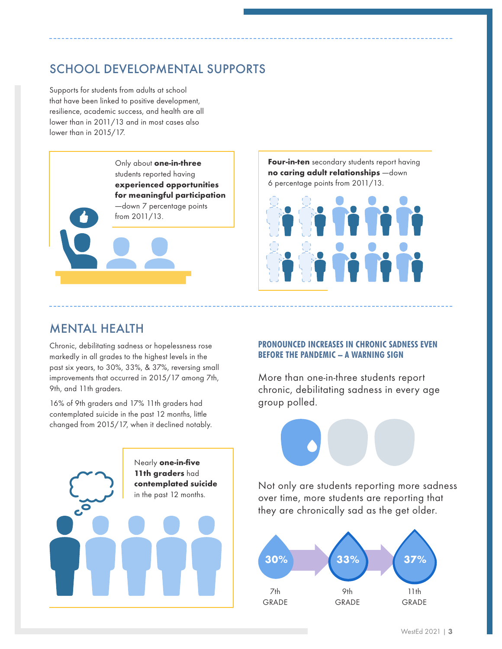# SCHOOL DEVELOPMENTAL SUPPORTS

Supports for students from adults at school that have been linked to positive development, resilience, academic success, and health are all lower than in 2011/13 and in most cases also lower than in 2015/17.

> Only about **one-in-three** students reported having **experienced opportunities for meaningful participation** —down 7 percentage points from 2011/13.

**Four-in-ten** secondary students report having **no caring adult relationships** —down 6 percentage points from 2011/13.



# MENTAL HEALTH

Chronic, debilitating sadness or hopelessness rose markedly in all grades to the highest levels in the past six years, to 30%, 33%, & 37%, reversing small improvements that occurred in 2015/17 among 7th, 9th, and 11th graders.

16% of 9th graders and 17% 11th graders had contemplated suicide in the past 12 months, little changed from 2015/17, when it declined notably.



### **PRONOUNCED INCREASES IN CHRONIC SADNESS EVEN BEFORE THE PANDEMIC – A WARNING SIGN**

More than one-in-three students report chronic, debilitating sadness in every age group polled.



Not only are students reporting more sadness over time, more students are reporting that they are chronically sad as the get older.